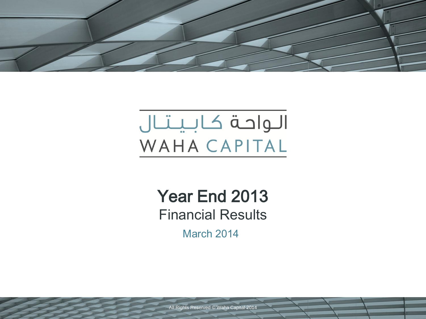

# الواحة كابيتال WAHA CAPITAL

Year End 2013 Financial Results

March 2014

All Rights Reserved © Waha Capital 2014 Waha Capital 2014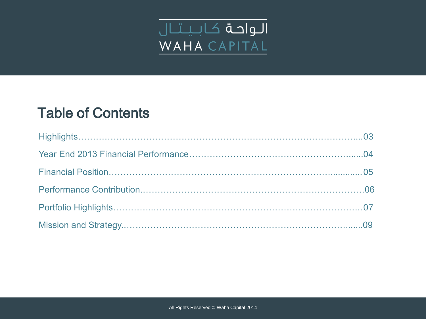

# Table of Contents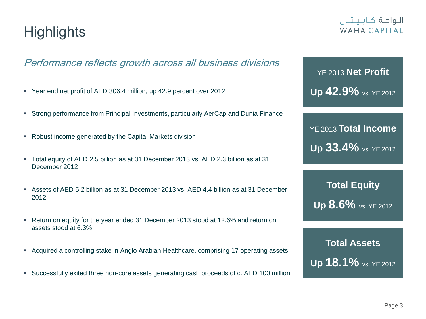**Highlights** 

### Performance reflects growth across all business divisions

- Year end net profit of AED 306.4 million, up 42.9 percent over 2012
- Strong performance from Principal Investments, particularly AerCap and Dunia Finance
- Robust income generated by the Capital Markets division
- Total equity of AED 2.5 billion as at 31 December 2013 vs. AED 2.3 billion as at 31 December 2012
- Assets of AED 5.2 billion as at 31 December 2013 vs. AED 4.4 billion as at 31 December 2012
- Return on equity for the year ended 31 December 2013 stood at 12.6% and return on assets stood at 6.3%
- Acquired a controlling stake in Anglo Arabian Healthcare, comprising 17 operating assets
- Successfully exited three non-core assets generating cash proceeds of c. AED 100 million

YE 2013 **Net Profit Up 42.9%** vs. YE 2012

YE 2013 **Total Income Up 33.4%** vs. YE 2012

**Total Equity Up 8.6%** vs. YE 2012

**Total Assets Up 18.1%** vs. YE 2012

### الواحة كالبيتال WAHA CAPITAL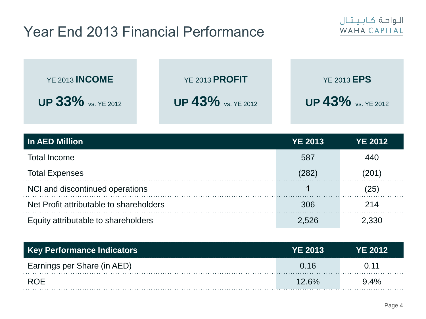# Year End 2013 Financial Performance



| <b>YE 2013 INCOME</b>     | <b>YE 2013 PROFIT</b>     | <b>YE 2013 EPS</b>        |
|---------------------------|---------------------------|---------------------------|
| <b>UP 33%</b> VS. YE 2012 | <b>UP 43%</b> vs. YE 2012 | <b>UP 43%</b> VS. YE 2012 |

| In AED Million                          | <b>YE 2013</b> | <b>YE 2012</b> |
|-----------------------------------------|----------------|----------------|
| <b>Total Income</b>                     | 587            | 440            |
| <b>Total Expenses</b>                   | 282            | (201)          |
| NCI and discontinued operations         |                | (25)           |
| Net Profit attributable to shareholders | 306            | 214            |
| Equity attributable to shareholders     | 2,526          | 2,330          |

| Key Performance Indicators  | <b>YE 2013</b> | <b>YE 2012</b> |
|-----------------------------|----------------|----------------|
| Earnings per Share (in AED) | 0.16           | () 11          |
| ROE                         | 126%           | $9.4\%$        |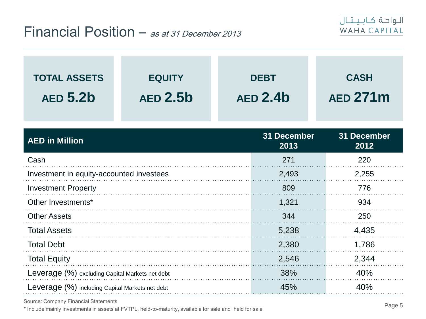

| <b>TOTAL ASSETS</b><br><b>AED 5.2b</b>          | <b>EQUITY</b><br><b>AED 2.5b</b> | <b>DEBT</b><br><b>AED 2.4b</b> | <b>CASH</b><br><b>AED 271m</b> |  |
|-------------------------------------------------|----------------------------------|--------------------------------|--------------------------------|--|
| <b>AED in Million</b>                           |                                  | 31 December<br>2013            | 31 December<br>2012            |  |
| Cash                                            |                                  | 271                            | 220                            |  |
| Investment in equity-accounted investees        |                                  | 2,493                          | 2,255                          |  |
| <b>Investment Property</b>                      |                                  | 809                            | 776                            |  |
| Other Investments*                              |                                  | 1,321                          | 934                            |  |
| <b>Other Assets</b>                             |                                  | 344                            | 250                            |  |
| <b>Total Assets</b>                             |                                  | 5,238                          | 4,435                          |  |
| <b>Total Debt</b>                               |                                  | 2,380                          | 1,786                          |  |
| <b>Total Equity</b>                             |                                  | 2,546                          | 2,344                          |  |
| Leverage (%) excluding Capital Markets net debt |                                  | 38%                            | 40%                            |  |
| Leverage (%) including Capital Markets net debt |                                  | 45%                            | 40%                            |  |

Source: Company Financial Statements

\* Include mainly investments in assets at FVTPL, held-to-maturity, available for sale and held for sale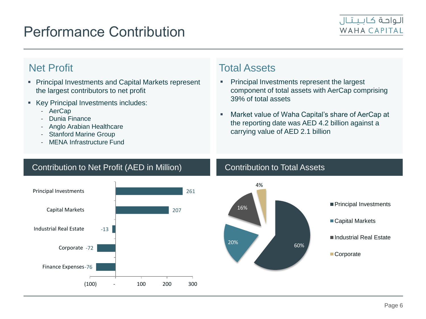## Performance Contribution



- **Principal Investments and Capital Markets represent** the largest contributors to net profit
- Key Principal Investments includes:
	- AerCap
	- Dunia Finance
	- Anglo Arabian Healthcare
	- Stanford Marine Group
	- MENA Infrastructure Fund

### **Net Profit** Net Profit

- Principal Investments represent the largest component of total assets with AerCap comprising 39% of total assets
- Market value of Waha Capital's share of AerCap at the reporting date was AED 4.2 billion against a carrying value of AED 2.1 billion

### Contribution to Net Profit (AED in Million) Contribution to Total Assets



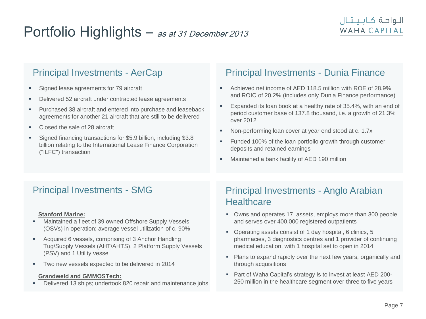- **Signed lease agreements for 79 aircraft**
- Delivered 52 aircraft under contracted lease agreements
- **Purchased 38 aircraft and entered into purchase and leaseback** agreements for another 21 aircraft that are still to be delivered
- Closed the sale of 28 aircraft
- Signed financing transactions for \$5.9 billion, including \$3.8 billion relating to the International Lease Finance Corporation ("ILFC") transaction

### Principal Investments - AerCap Principal Investments - Dunia Finance

- Achieved net income of AED 118.5 million with ROE of 28.9% and ROIC of 20.2% (includes only Dunia Finance performance)
- **Expanded its loan book at a healthy rate of 35.4%, with an end of** period customer base of 137.8 thousand, i.e. a growth of 21.3% over 2012
- Non-performing loan cover at year end stood at c. 1.7x
- Funded 100% of the loan portfolio growth through customer deposits and retained earnings
- Maintained a bank facility of AED 190 million

### **Stanford Marine:**

- Maintained a fleet of 39 owned Offshore Supply Vessels (OSVs) in operation; average vessel utilization of c. 90%
- **Acquired 6 vessels, comprising of 3 Anchor Handling** Tug/Supply Vessels (AHT/AHTS), 2 Platform Supply Vessels (PSV) and 1 Utility vessel
- Two new vessels expected to be delivered in 2014

### **Grandweld and GMMOSTech:**

Delivered 13 ships; undertook 820 repair and maintenance jobs

### Principal Investments - SMG Principal Investments - Anglo Arabian **Healthcare**

- Owns and operates 17 assets, employs more than 300 people and serves over 400,000 registered outpatients
- Operating assets consist of 1 day hospital, 6 clinics, 5 pharmacies, 3 diagnostics centres and 1 provider of continuing medical education, with 1 hospital set to open in 2014
- Plans to expand rapidly over the next few years, organically and through acquisitions
- Part of Waha Capital's strategy is to invest at least AED 200- 250 million in the healthcare segment over three to five years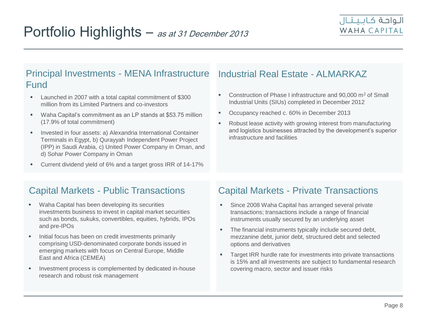### Principal Investments - MENA Infrastructure Industrial Real Estate - ALMARKAZ Fund

- **Launched in 2007 with a total capital commitment of \$300** million from its Limited Partners and co-investors
- Waha Capital's commitment as an LP stands at \$53.75 million (17.9% of total commitment)
- **Invested in four assets: a) Alexandria International Container** Terminals in Egypt, b) Qurayyah Independent Power Project (IPP) in Saudi Arabia, c) United Power Company in Oman, and d) Sohar Power Company in Oman
- **Current dividend yield of 6% and a target gross IRR of 14-17%**

- Construction of Phase I infrastructure and 90,000 m<sup>2</sup> of Small Industrial Units (SIUs) completed in December 2012
- **Occupancy reached c. 60% in December 2013**
- Robust lease activity with growing interest from manufacturing and logistics businesses attracted by the development's superior infrastructure and facilities

### Capital Markets - Public Transactions

- Waha Capital has been developing its securities investments business to invest in capital market securities such as bonds, sukuks, convertibles, equities, hybrids, IPOs and pre-IPOs
- **Initial focus has been on credit investments primarily** comprising USD-denominated corporate bonds issued in emerging markets with focus on Central Europe, Middle East and Africa (CEMEA)
- Investment process is complemented by dedicated in-house research and robust risk management

### Capital Markets - Private Transactions

- Since 2008 Waha Capital has arranged several private transactions; transactions include a range of financial instruments usually secured by an underlying asset
- **The financial instruments typically include secured debt,** mezzanine debt, junior debt, structured debt and selected options and derivatives
- **Target IRR hurdle rate for investments into private transactions** is 15% and all investments are subject to fundamental research covering macro, sector and issuer risks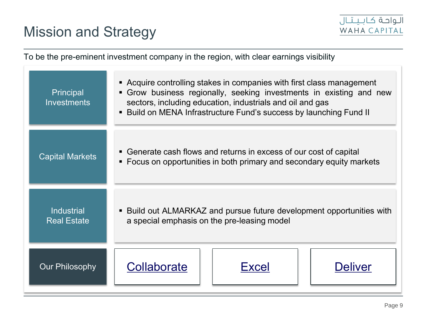# Mission and Strategy



To be the pre-eminent investment company in the region, with clear earnings visibility Our Philosophy | Collaborate | | Excel | Deliver **Principal Investments**  Acquire controlling stakes in companies with first class management Grow business regionally, seeking investments in existing and new sectors, including education, industrials and oil and gas **Build on MENA Infrastructure Fund's success by launching Fund II** Capital Markets **Generate cash flows and returns in excess of our cost of capital**  Focus on opportunities in both primary and secondary equity markets **Industrial** Real Estate Build out ALMARKAZ and pursue future development opportunities with a special emphasis on the pre-leasing model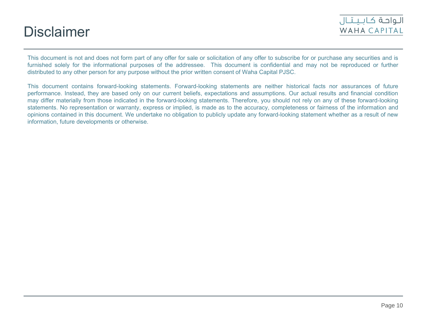## **Disclaimer**



This document is not and does not form part of any offer for sale or solicitation of any offer to subscribe for or purchase any securities and is furnished solely for the informational purposes of the addressee. This document is confidential and may not be reproduced or further distributed to any other person for any purpose without the prior written consent of Waha Capital PJSC.

This document contains forward-looking statements. Forward-looking statements are neither historical facts nor assurances of future performance. Instead, they are based only on our current beliefs, expectations and assumptions. Our actual results and financial condition may differ materially from those indicated in the forward-looking statements. Therefore, you should not rely on any of these forward-looking statements. No representation or warranty, express or implied, is made as to the accuracy, completeness or fairness of the information and opinions contained in this document. We undertake no obligation to publicly update any forward-looking statement whether as a result of new information, future developments or otherwise.